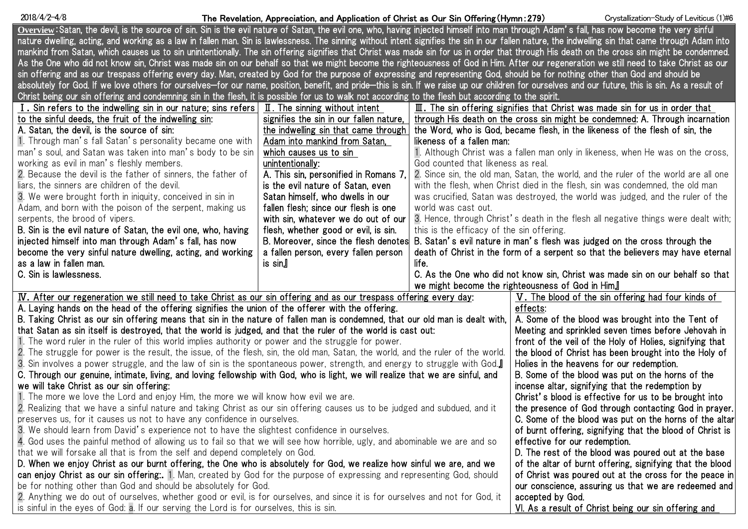| $2018/4/2 - 4/8$                                                                                                                                                                                   | The Revelation, Appreciation, and Application of Christ as Our Sin Offering (Hymn: 279)                                                                                                |                                           | Crystallization-Study of Leviticus (1)#6                                               |  |  |
|----------------------------------------------------------------------------------------------------------------------------------------------------------------------------------------------------|----------------------------------------------------------------------------------------------------------------------------------------------------------------------------------------|-------------------------------------------|----------------------------------------------------------------------------------------|--|--|
| Overview:Satan, the devil, is the source of sin. Sin is the evil nature of Satan, the evil one, who, having injected himself into man through Adam's fall, has now become the very sinful          |                                                                                                                                                                                        |                                           |                                                                                        |  |  |
| nature dwelling, acting, and working as a law in fallen man. Sin is lawlessness. The sinning without intent signifies the sin in our fallen nature, the indwelling sin that came through Adam into |                                                                                                                                                                                        |                                           |                                                                                        |  |  |
| mankind from Satan, which causes us to sin unintentionally. The sin offering signifies that Christ was made sin for us in order that through His death on the cross sin might be condemned.        |                                                                                                                                                                                        |                                           |                                                                                        |  |  |
|                                                                                                                                                                                                    | As the One who did not know sin, Christ was made sin on our behalf so that we might become the righteousness of God in Him. After our regeneration we still need to take Christ as our |                                           |                                                                                        |  |  |
| sin offering and as our trespass offering every day. Man, created by God for the purpose of expressing and representing God, should be for nothing other than God and should be                    |                                                                                                                                                                                        |                                           |                                                                                        |  |  |
| absolutely for God. If we love others for ourselves-for our name, position, benefit, and pride-this is sin. If we raise up our children for ourselves and our future, this is sin. As a result of  |                                                                                                                                                                                        |                                           |                                                                                        |  |  |
| Christ being our sin offering and condemning sin in the flesh, it is possible for us to walk not according to the flesh but according to the spirit.                                               |                                                                                                                                                                                        |                                           |                                                                                        |  |  |
| I. Sin refers to the indwelling sin in our nature; sins refers $\parallel$ II. The sinning without intent                                                                                          |                                                                                                                                                                                        |                                           | $\mathbb I$ . The sin offering signifies that Christ was made sin for us in order that |  |  |
| to the sinful deeds, the fruit of the indwelling sin:                                                                                                                                              | signifies the sin in our fallen nature,                                                                                                                                                |                                           | through His death on the cross sin might be condemned: A. Through incarnation          |  |  |
| A. Satan, the devil, is the source of sin:                                                                                                                                                         | the indwelling sin that came through                                                                                                                                                   |                                           | the Word, who is God, became flesh, in the likeness of the flesh of sin, the           |  |  |
| 1. Through man's fall Satan's personality became one with                                                                                                                                          | Adam into mankind from Satan,                                                                                                                                                          | likeness of a fallen man:                 |                                                                                        |  |  |
| man's soul, and Satan was taken into man's body to be sin                                                                                                                                          | which causes us to sin                                                                                                                                                                 |                                           | 1. Although Christ was a fallen man only in likeness, when He was on the cross,        |  |  |
| working as evil in man's fleshly members.                                                                                                                                                          | unintentionally:                                                                                                                                                                       | God counted that likeness as real.        |                                                                                        |  |  |
| 2. Because the devil is the father of sinners, the father of                                                                                                                                       | A. This sin, personified in Romans 7,                                                                                                                                                  |                                           | 2. Since sin, the old man, Satan, the world, and the ruler of the world are all one    |  |  |
| liars, the sinners are children of the devil.                                                                                                                                                      | is the evil nature of Satan, even                                                                                                                                                      |                                           | with the flesh, when Christ died in the flesh, sin was condemned, the old man          |  |  |
| 3. We were brought forth in iniquity, conceived in sin in                                                                                                                                          | Satan himself, who dwells in our                                                                                                                                                       |                                           | was crucified, Satan was destroyed, the world was judged, and the ruler of the         |  |  |
| Adam, and born with the poison of the serpent, making us                                                                                                                                           | fallen flesh; since our flesh is one                                                                                                                                                   | world was cast out.                       |                                                                                        |  |  |
| serpents, the brood of vipers.                                                                                                                                                                     | with sin, whatever we do out of our                                                                                                                                                    |                                           | 3. Hence, through Christ's death in the flesh all negative things were dealt with;     |  |  |
| B. Sin is the evil nature of Satan, the evil one, who, having                                                                                                                                      | flesh, whether good or evil, is sin.                                                                                                                                                   | this is the efficacy of the sin offering. |                                                                                        |  |  |
| injected himself into man through Adam's fall, has now                                                                                                                                             | B. Moreover, since the flesh denotes                                                                                                                                                   |                                           | B. Satan's evil nature in man's flesh was judged on the cross through the              |  |  |
| become the very sinful nature dwelling, acting, and working                                                                                                                                        | a fallen person, every fallen person                                                                                                                                                   |                                           | death of Christ in the form of a serpent so that the believers may have eternal        |  |  |
| as a law in fallen man.                                                                                                                                                                            | is sin』                                                                                                                                                                                | life.                                     |                                                                                        |  |  |
| C. Sin is lawlessness.                                                                                                                                                                             |                                                                                                                                                                                        |                                           | C. As the One who did not know sin, Christ was made sin on our behalf so that          |  |  |
|                                                                                                                                                                                                    |                                                                                                                                                                                        |                                           | we might become the righteousness of God in Him.                                       |  |  |
| IV. After our regeneration we still need to take Christ as our sin offering and as our trespass offering every day:                                                                                |                                                                                                                                                                                        |                                           | V. The blood of the sin offering had four kinds of                                     |  |  |
| A. Laying hands on the head of the offering signifies the union of the offerer with the offering.                                                                                                  |                                                                                                                                                                                        |                                           | effects:                                                                               |  |  |
| B. Taking Christ as our sin offering means that sin in the nature of fallen man is condemned, that our old man is dealt with,                                                                      |                                                                                                                                                                                        |                                           | A. Some of the blood was brought into the Tent of                                      |  |  |
| that Satan as sin itself is destroyed, that the world is judged, and that the ruler of the world is cast out:                                                                                      |                                                                                                                                                                                        |                                           | Meeting and sprinkled seven times before Jehovah in                                    |  |  |
| 1. The word ruler in the ruler of this world implies authority or power and the struggle for power.                                                                                                |                                                                                                                                                                                        |                                           | front of the veil of the Holy of Holies, signifying that                               |  |  |
| 2. The struggle for power is the result, the issue, of the flesh, sin, the old man, Satan, the world, and the ruler of the world.                                                                  |                                                                                                                                                                                        |                                           | the blood of Christ has been brought into the Holy of                                  |  |  |
| 3. Sin involves a power struggle, and the law of sin is the spontaneous power, strength, and energy to struggle with God.                                                                          |                                                                                                                                                                                        |                                           | Holies in the heavens for our redemption.                                              |  |  |
| C. Through our genuine, intimate, living, and loving fellowship with God, who is light, we will realize that we are sinful, and                                                                    |                                                                                                                                                                                        |                                           | B. Some of the blood was put on the horns of the                                       |  |  |
| we will take Christ as our sin offering:                                                                                                                                                           |                                                                                                                                                                                        |                                           | incense altar, signifying that the redemption by                                       |  |  |
| 1. The more we love the Lord and enjoy Him, the more we will know how evil we are.                                                                                                                 |                                                                                                                                                                                        |                                           | Christ's blood is effective for us to be brought into                                  |  |  |
| 2. Realizing that we have a sinful nature and taking Christ as our sin offering causes us to be judged and subdued, and it                                                                         |                                                                                                                                                                                        |                                           | the presence of God through contacting God in prayer.                                  |  |  |
| preserves us, for it causes us not to have any confidence in ourselves.                                                                                                                            |                                                                                                                                                                                        |                                           | C. Some of the blood was put on the horns of the altar                                 |  |  |
| 3. We should learn from David's experience not to have the slightest confidence in ourselves.                                                                                                      |                                                                                                                                                                                        |                                           | of burnt offering, signifying that the blood of Christ is                              |  |  |
| 4. God uses the painful method of allowing us to fail so that we will see how horrible, ugly, and abominable we are and so                                                                         |                                                                                                                                                                                        |                                           | effective for our redemption.                                                          |  |  |
| that we will forsake all that is from the self and depend completely on God.                                                                                                                       | D. The rest of the blood was poured out at the base                                                                                                                                    |                                           |                                                                                        |  |  |
| D. When we enjoy Christ as our burnt offering, the One who is absolutely for God, we realize how sinful we are, and we                                                                             |                                                                                                                                                                                        |                                           | of the altar of burnt offering, signifying that the blood                              |  |  |
| can enjoy Christ as our sin offering: 1. Man, created by God for the purpose of expressing and representing God, should                                                                            |                                                                                                                                                                                        |                                           | of Christ was poured out at the cross for the peace in                                 |  |  |
| be for nothing other than God and should be absolutely for God.                                                                                                                                    |                                                                                                                                                                                        |                                           | our conscience, assuring us that we are redeemed and                                   |  |  |
| 2. Anything we do out of ourselves, whether good or evil, is for ourselves, and since it is for ourselves and not for God, it                                                                      |                                                                                                                                                                                        |                                           | accepted by God.                                                                       |  |  |
| is sinful in the eyes of God: a. If our serving the Lord is for ourselves, this is sin.                                                                                                            |                                                                                                                                                                                        |                                           |                                                                                        |  |  |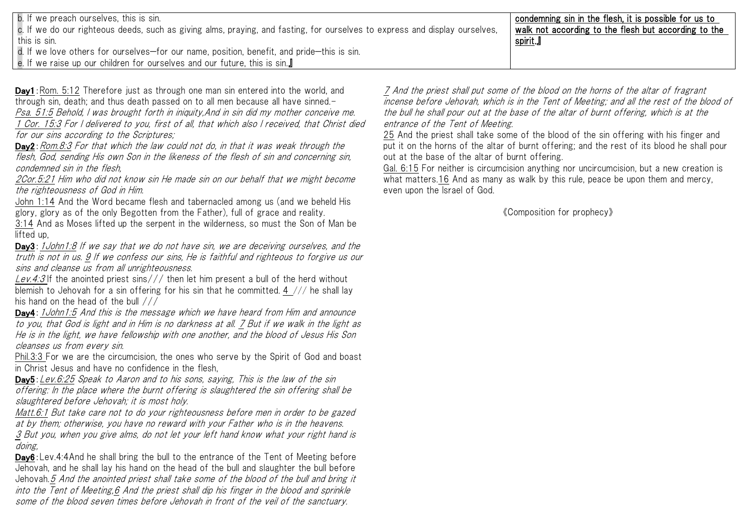| b. If we preach ourselves, this is sin.<br>  c. If we do our righteous deeds, such as giving alms, praying, and fasting, for ourselves to express and display ourselves,<br>I this is sin. | condemning sin in the flesh, it is possible for us to<br>walk not according to the flesh but according to the<br>spirit.』 |
|--------------------------------------------------------------------------------------------------------------------------------------------------------------------------------------------|---------------------------------------------------------------------------------------------------------------------------|
| $\vert$ d. If we love others for ourselves—for our name, position, benefit, and pride—this is sin.                                                                                         |                                                                                                                           |
| │ e. If we raise up our children for ourselves and our future, this is sin.』                                                                                                               |                                                                                                                           |

Day1: Rom. 5:12 Therefore just as through one man sin entered into the world, and through sin, death; and thus death passed on to all men because all have sinned.- Psa. 51:5 Behold, I was brought forth in iniquity,And in sin did my mother conceive me. 1 Cor. 15:3 For I delivered to you, first of all, that which also I received, that Christ died for our sins according to the Scriptures;

Day2:Rom.8:3 For that which the law could not do, in that it was weak through the flesh, God, sending His own Son in the likeness of the flesh of sin and concerning sin, condemned sin in the flesh,

2Cor.5:21 Him who did not know sin He made sin on our behalf that we might become the righteousness of God in Him.

John 1:14 And the Word became flesh and tabernacled among us (and we beheld His glory, glory as of the only Begotten from the Father), full of grace and reality.

3:14 And as Moses lifted up the serpent in the wilderness, so must the Son of Man be lifted up,

Day3: 1 John 1:8 If we say that we do not have sin, we are deceiving ourselves, and the truth is not in us. 9 If we confess our sins, He is faithful and righteous to forgive us our sins and cleanse us from all unrighteousness.

<u>Lev.4:3</u> If the anointed priest sins/// then let him present a bull of the herd without blemish to Jehovah for a sin offering for his sin that he committed. 4  $//$  he shall lay his hand on the head of the bull ///

Day4: 1 John 1:5 And this is the message which we have heard from Him and announce to you, that God is light and in Him is no darkness at all. 7 But if we walk in the light as He is in the light, we have fellowship with one another, and the blood of Jesus His Son cleanses us from every sin.

Phil.3:3 For we are the circumcision, the ones who serve by the Spirit of God and boast in Christ Jesus and have no confidence in the flesh,

Day5:Lev.6:25 Speak to Aaron and to his sons, saying, This is the law of the sin offering: In the place where the burnt offering is slaughtered the sin offering shall be slaughtered before Jehovah; it is most holy.

Matt.6:1 But take care not to do your righteousness before men in order to be gazed at by them; otherwise, you have no reward with your Father who is in the heavens. <u>3</u> But you, when you give alms, do not let your left hand know what your right hand is doing,

Day6:Lev.4:4And he shall bring the bull to the entrance of the Tent of Meeting before Jehovah, and he shall lay his hand on the head of the bull and slaughter the bull before Jehovah.5 And the anointed priest shall take some of the blood of the bull and bring it into the Tent of Meeting,6 And the priest shall dip his finger in the blood and sprinkle some of the blood seven times before Jehovah in front of the veil of the sanctuary.

7 And the priest shall put some of the blood on the horns of the altar of fragrant incense before Jehovah, which is in the Tent of Meeting; and all the rest of the blood of the bull he shall pour out at the base of the altar of burnt offering, which is at the entrance of the Tent of Meeting.

25 And the priest shall take some of the blood of the sin offering with his finger and put it on the horns of the altar of burnt offering; and the rest of its blood he shall pour out at the base of the altar of burnt offering.

Gal. 6:15 For neither is circumcision anything nor uncircumcision, but a new creation is what matters.16 And as many as walk by this rule, peace be upon them and mercy, even upon the Israel of God.

《Composition for prophecy》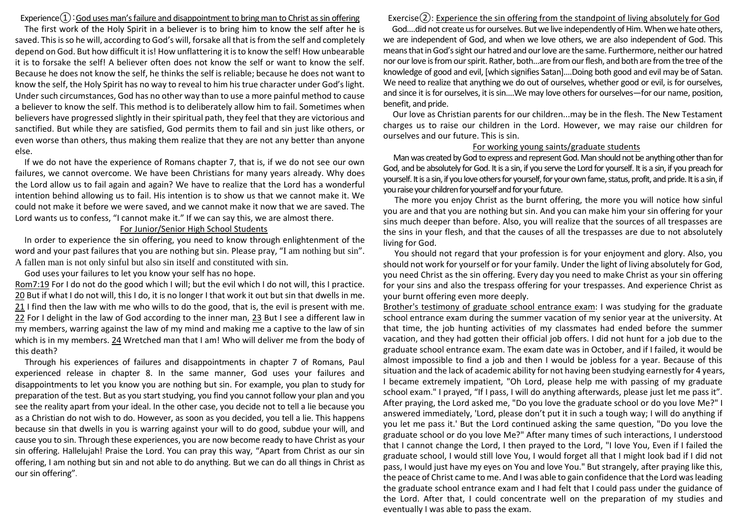Experience $\Omega$ : God uses man's failure and disappointment to bring man to Christ as sin offering

The first work of the Holy Spirit in a believer is to bring him to know the self after he is saved. This is so he will, according to God's will, forsake all that is from the self and completely depend on God. But how difficult it is! How unflattering it is to know the self! How unbearable it is to forsake the self! A believer often does not know the self or want to know the self. Because he does not know the self, he thinks the self is reliable; because he does not want to know the self, the Holy Spirit has no way to reveal to him his true character under God's light. Under such circumstances, God has no other way than to use a more painful method to cause a believer to know the self. This method is to deliberately allow him to fail. Sometimes when believers have progressed slightly in their spiritual path, they feel that they are victorious and sanctified. But while they are satisfied, God permits them to fail and sin just like others, or even worse than others, thus making them realize that they are not any better than anyone else.

If we do not have the experience of Romans chapter 7, that is, if we do not see our own failures, we cannot overcome. We have been Christians for many years already. Why does the Lord allow us to fail again and again? We have to realize that the Lord has a wonderful intention behind allowing us to fail. His intention is to show us that we cannot make it. We could not make it before we were saved, and we cannot make it now that we are saved. The Lord wants us to confess, "I cannot make it." If we can say this, we are almost there.

### For Junior/Senior High School Students

In order to experience the sin offering, you need to know through enlightenment of the word and your past failures that you are nothing but sin. Please pray, "I am nothing but sin". A fallen man is not only sinful but also sin itself and constituted with sin.

God uses your failures to let you know your self has no hope.

Rom7:19 For I do not do the good which I will; but the evil which I do not will, this I practice. 20 But if what I do not will, this I do, it is no longer I that work it out but sin that dwells in me. 21 I find then the law with me who wills to do the good, that is, the evil is present with me. 22 For I delight in the law of God according to the inner man, 23 But I see a different law in my members, warring against the law of my mind and making me a captive to the law of sin which is in my members. 24 Wretched man that I am! Who will deliver me from the body of this death?

Through his experiences of failures and disappointments in chapter 7 of Romans, Paul experienced release in chapter 8. In the same manner, God uses your failures and disappointments to let you know you are nothing but sin. For example, you plan to study for preparation of the test. But as you start studying, you find you cannot follow your plan and you see the reality apart from your ideal. In the other case, you decide not to tell a lie because you as a Christian do not wish to do. However, as soon as you decided, you tell a lie. This happens because sin that dwells in you is warring against your will to do good, subdue your will, and cause you to sin. Through these experiences, you are now become ready to have Christ as your sin offering. Hallelujah! Praise the Lord. You can pray this way, "Apart from Christ as our sin offering, I am nothing but sin and not able to do anything. But we can do all things in Christ as our sin offering".

Exercise $(2)$ : Experience the sin offering from the standpoint of living absolutely for God God….did not create us for ourselves. But we live independently of Him. When we hate others, we are independent of God, and when we love others, we are also independent of God. This means that in God's sight our hatred and our love are the same. Furthermore, neither our hatred nor our love is from our spirit. Rather, both…are from our flesh, and both are from the tree of the knowledge of good and evil, [which signifies Satan]….Doing both good and evil may be of Satan. We need to realize that anything we do out of ourselves, whether good or evil, is for ourselves, and since it is for ourselves, it is sin….We may love others for ourselves—for our name, position, benefit, and pride.

Our love as Christian parents for our children...may be in the flesh. The New Testament charges us to raise our children in the Lord. However, we may raise our children for ourselves and our future. This is sin.

#### For working young saints/graduate students

Man was created by God to express and representGod. Man should not be anything other than for God, and be absolutely for God. It is a sin, if you serve the Lord for yourself. It is a sin, if you preach for yourself. It is a sin, if you love others for yourself, for your own fame, status, profit, and pride. It is a sin, if you raise your children for yourself and for your future.

The more you enjoy Christ as the burnt offering, the more you will notice how sinful you are and that you are nothing but sin. And you can make him your sin offering for your sins much deeper than before. Also, you will realize that the sources of all trespasses are the sins in your flesh, and that the causes of all the trespasses are due to not absolutely living for God.

You should not regard that your profession is for your enjoyment and glory. Also, you should not work for yourself or for your family. Under the light of living absolutely for God, you need Christ as the sin offering. Every day you need to make Christ as your sin offering for your sins and also the trespass offering for your trespasses. And experience Christ as your burnt offering even more deeply.

Brother's testimony of graduate school entrance exam: I was studying for the graduate school entrance exam during the summer vacation of my senior year at the university. At that time, the job hunting activities of my classmates had ended before the summer vacation, and they had gotten their official job offers. I did not hunt for a job due to the graduate school entrance exam. The exam date was in October, and if I failed, it would be almost impossible to find a job and then I would be jobless for a year. Because of this situation and the lack of academic ability for not having been studying earnestly for 4 years, I became extremely impatient, "Oh Lord, please help me with passing of my graduate school exam." I prayed, "If I pass, I will do anything afterwards, please just let me pass it". After praying, the Lord asked me, "Do you love the graduate school or do you love Me?" I answered immediately, 'Lord, please don't put it in such a tough way; I will do anything if you let me pass it.' But the Lord continued asking the same question, "Do you love the graduate school or do you love Me?" After many times of such interactions, I understood that I cannot change the Lord, I then prayed to the Lord, "I love You, Even if I failed the graduate school, I would still love You, I would forget all that I might look bad if I did not pass, I would just have my eyes on You and love You." But strangely, after praying like this, the peace of Christ came to me. And I was able to gain confidence that the Lord was leading the graduate school entrance exam and I had felt that I could pass under the guidance of the Lord. After that, I could concentrate well on the preparation of my studies and eventually I was able to pass the exam.